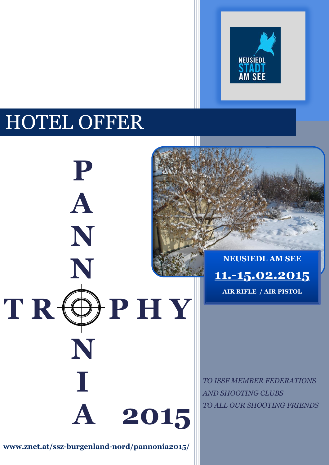

# HOTEL OFFER

**P****P**

**A**

**N**

**N**

 **N**

**I**

 $T R \nleftrightarrow P H Y$ 

**NEUSIEDL AM SEE 11.-15.02.2015 AIR RIFLE / AIR PISTOL**

*TO ISSF MEMBER FEDERATIONS AND SHOOTING CLUBS TO ALL OUR SHOOTING FRIENDS*

**[www.znet.at/ssz-burgenland-nord/pannonia2](http://www.znet.at/ssz-burgenland-nord/pannonia)015/**

 **A****2015**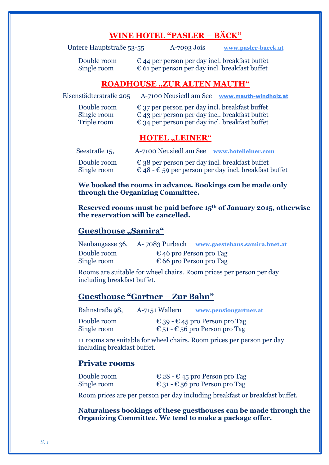### **WINE HOTEL "PASLER – BÄCK"**

| Untere Hauptstraße 53-55 | $A$ -7093 Jois | www.pasler-baeck.at |
|--------------------------|----------------|---------------------|
|                          |                |                     |

Double room  $\epsilon$  44 per person per day incl. breakfast buffet Single room  $\epsilon$  61 per person per day incl. breakfast buffet

#### **ROADHOUSE "ZUR ALTEN MAUTH"**

Eisenstädterstraße 205 A-7100 Neusiedl am See **[www.mauth-windholz.at](http://www.mauth-windholz.at/)** Double room  $\epsilon$  37 per person per day incl. breakfast buffet Single room  $\epsilon$  43 per person per day incl. breakfast buffet Triple room  $\epsilon$  34 per person per day incl. breakfast buffet

#### $HOTEL$ <sub>2</sub>, LEINER<sup>"</sup>

| Seestraße $15$ , | A-7100 Neusiedl am See www.hotelleiner.com              |
|------------------|---------------------------------------------------------|
| Double room      | $\epsilon$ 38 per person per day incl. breakfast buffet |
| Single room      | € 48 - € 59 per person per day incl. breakfast buffet   |

**We booked the rooms in advance. Bookings can be made only through the Organizing Committee.**

**Reserved rooms must be paid before 15th of January 2015, otherwise the reservation will be cancelled.**

#### **Guesthouse "Samira"**

|             | Neubaugasse 36, A-7083 Purbach   | www.gaestehaus.samira.bnet.at    |
|-------------|----------------------------------|----------------------------------|
| Double room | $\epsilon$ 46 pro Person pro Tag |                                  |
| Single room |                                  | $\epsilon$ 66 pro Person pro Tag |

Rooms are suitable for wheel chairs. Room prices per person per day including breakfast buffet.

#### **Guesthouse "Gartner – Zur Bahn"**

| www.pensiongartner.at |
|-----------------------|
|                       |

Double room  $\epsilon$  39 -  $\epsilon$  45 pro Person pro Tag Single room  $\epsilon_{51}$  -  $\epsilon_{56}$  pro Person pro Tag

11 rooms are suitable for wheel chairs. Room prices per person per day including breakfast buffet.

#### **Private rooms**

| Double room | € 28 - € 45 pro Person pro Tag |
|-------------|--------------------------------|
| Single room | € 31 - € 56 pro Person pro Tag |

Room prices are per person per day including breakfast or breakfast buffet.

**Naturalness bookings of these guesthouses can be made through the Organizing Committee. We tend to make a package offer.**